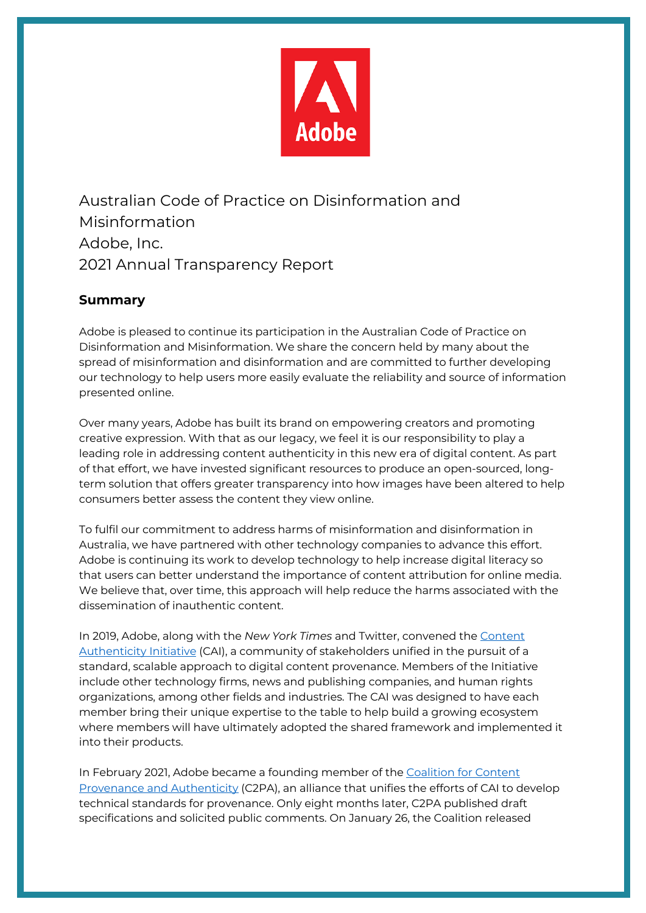

Australian Code of Practice on Disinformation and Misinformation Adobe, Inc. 2021 Annual Transparency Report

## **Summary**

Adobe is pleased to continue its participation in the Australian Code of Practice on Disinformation and Misinformation. We share the concern held by many about the spread of misinformation and disinformation and are committed to further developing our technology to help users more easily evaluate the reliability and source of information presented online.

Over many years, Adobe has built its brand on empowering creators and promoting creative expression. With that as our legacy, we feel it is our responsibility to play a leading role in addressing content authenticity in this new era of digital content. As part of that effort, we have invested significant resources to produce an open-sourced, longterm solution that offers greater transparency into how images have been altered to help consumers better assess the content they view online.

To fulfil our commitment to address harms of misinformation and disinformation in Australia, we have partnered with other technology companies to advance this effort. Adobe is continuing its work to develop technology to help increase digital literacy so that users can better understand the importance of content attribution for online media. We believe that, over time, this approach will help reduce the harms associated with the dissemination of inauthentic content.

In 2019, Adobe, along with the *New York Times* and Twitter, convened the Content Authenticity Initiative (CAI), a community of stakeholders unified in the pursuit of a standard, scalable approach to digital content provenance. Members of the Initiative include other technology firms, news and publishing companies, and human rights organizations, among other fields and industries. The CAI was designed to have each member bring their unique expertise to the table to help build a growing ecosystem where members will have ultimately adopted the shared framework and implemented it into their products.

In February 2021, Adobe became a founding member of the Coalition for Content Provenance and Authenticity (C2PA), an alliance that unifies the efforts of CAI to develop technical standards for provenance. Only eight months later, C2PA published draft specifications and solicited public comments. On January 26, the Coalition released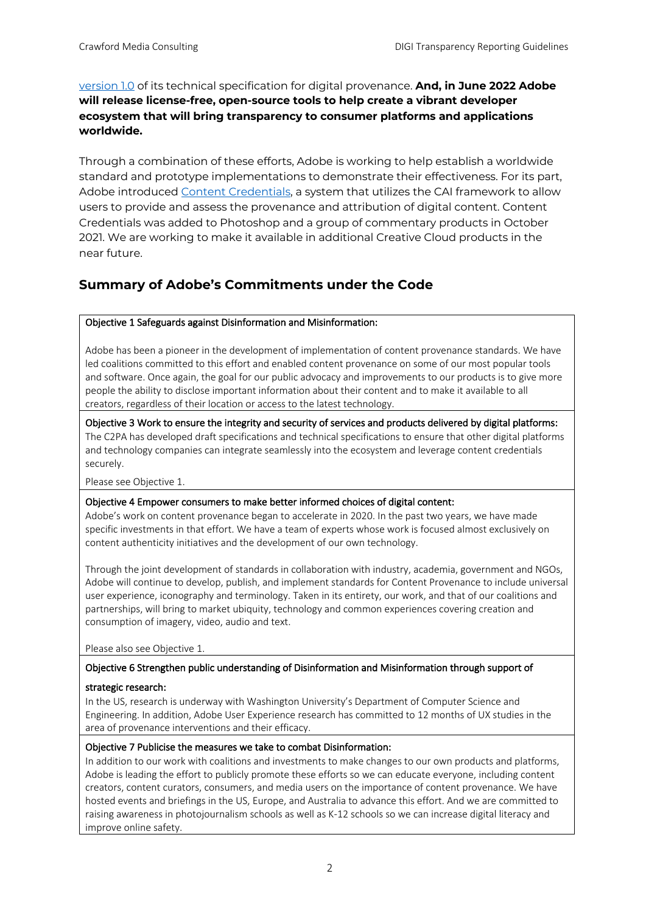version 1.0 of its technical specification for digital provenance. **And, in June 2022 Adobe will release license-free, open-source tools to help create a vibrant developer ecosystem that will bring transparency to consumer platforms and applications worldwide.**

Through a combination of these efforts, Adobe is working to help establish a worldwide standard and prototype implementations to demonstrate their effectiveness. For its part, Adobe introduced Content Credentials, a system that utilizes the CAI framework to allow users to provide and assess the provenance and attribution of digital content. Content Credentials was added to Photoshop and a group of commentary products in October 2021. We are working to make it available in additional Creative Cloud products in the near future.

## **Summary of Adobe's Commitments under the Code**

### Objective 1 Safeguards against Disinformation and Misinformation:

Adobe has been a pioneer in the development of implementation of content provenance standards. We have led coalitions committed to this effort and enabled content provenance on some of our most popular tools and software. Once again, the goal for our public advocacy and improvements to our products is to give more people the ability to disclose important information about their content and to make it available to all creators, regardless of their location or access to the latest technology.

Objective 3 Work to ensure the integrity and security of services and products delivered by digital platforms: The C2PA has developed draft specifications and technical specifications to ensure that other digital platforms and technology companies can integrate seamlessly into the ecosystem and leverage content credentials securely.

Please see Objective 1.

### Objective 4 Empower consumers to make better informed choices of digital content:

Adobe's work on content provenance began to accelerate in 2020. In the past two years, we have made specific investments in that effort. We have a team of experts whose work is focused almost exclusively on content authenticity initiatives and the development of our own technology.

Through the joint development of standards in collaboration with industry, academia, government and NGOs, Adobe will continue to develop, publish, and implement standards for Content Provenance to include universal user experience, iconography and terminology. Taken in its entirety, our work, and that of our coalitions and partnerships, will bring to market ubiquity, technology and common experiences covering creation and consumption of imagery, video, audio and text.

Please also see Objective 1.

### Objective 6 Strengthen public understanding of Disinformation and Misinformation through support of

### strategic research:

In the US, research is underway with Washington University's Department of Computer Science and Engineering. In addition, Adobe User Experience research has committed to 12 months of UX studies in the area of provenance interventions and their efficacy.

### Objective 7 Publicise the measures we take to combat Disinformation:

In addition to our work with coalitions and investments to make changes to our own products and platforms, Adobe is leading the effort to publicly promote these efforts so we can educate everyone, including content creators, content curators, consumers, and media users on the importance of content provenance. We have hosted events and briefings in the US, Europe, and Australia to advance this effort. And we are committed to raising awareness in photojournalism schools as well as K-12 schools so we can increase digital literacy and improve online safety.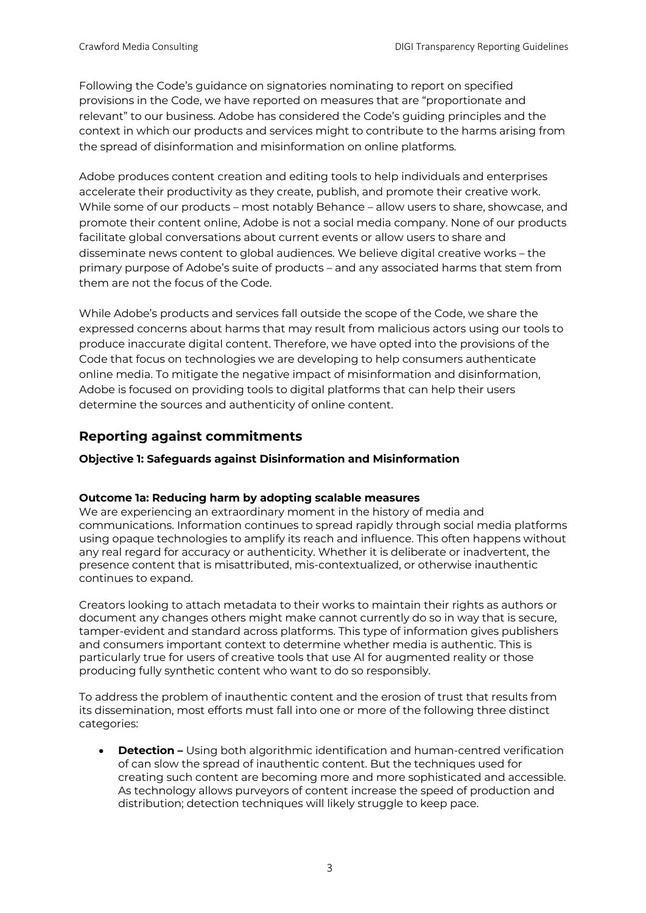Following the Code's guidance on signatories nominating to report on specified provisions in the Code, we have reported on measures that are "proportionate and relevant" to our business. Adobe has considered the Code's guiding principles and the context in which our products and services might to contribute to the harms arising from the spread of disinformation and misinformation on online platforms.

Adobe produces content creation and editing tools to help individuals and enterprises accelerate their productivity as they create, publish, and promote their creative work. While some of our products – most notably Behance – allow users to share, showcase, and promote their content online, Adobe is not a social media company. None of our products facilitate global conversations about current events or allow users to share and disseminate news content to global audiences. We believe digital creative works – the primary purpose of Adobe's suite of products – and any associated harms that stem from them are not the focus of the Code.

While Adobe's products and services fall outside the scope of the Code, we share the expressed concerns about harms that may result from malicious actors using our tools to produce inaccurate digital content. Therefore, we have opted into the provisions of the Code that focus on technologies we are developing to help consumers authenticate online media. To mitigate the negative impact of misinformation and disinformation, Adobe is focused on providing tools to digital platforms that can help their users determine the sources and authenticity of online content.

# **Reporting against commitments**

### **Objective 1: Safeguards against Disinformation and Misinformation**

### **Outcome 1a: Reducing harm by adopting scalable measures**

We are experiencing an extraordinary moment in the history of media and communications. Information continues to spread rapidly through social media platforms using opaque technologies to amplify its reach and influence. This often happens without any real regard for accuracy or authenticity. Whether it is deliberate or inadvertent, the presence content that is misattributed, mis-contextualized, or otherwise inauthentic continues to expand.

Creators looking to attach metadata to their works to maintain their rights as authors or document any changes others might make cannot currently do so in way that is secure, tamper-evident and standard across platforms. This type of information gives publishers and consumers important context to determine whether media is authentic. This is particularly true for users of creative tools that use AI for augmented reality or those producing fully synthetic content who want to do so responsibly.

To address the problem of inauthentic content and the erosion of trust that results from its dissemination, most efforts must fall into one or more of the following three distinct categories:

• **Detection –** Using both algorithmic identification and human-centred verification of can slow the spread of inauthentic content. But the techniques used for creating such content are becoming more and more sophisticated and accessible. As technology allows purveyors of content increase the speed of production and distribution; detection techniques will likely struggle to keep pace.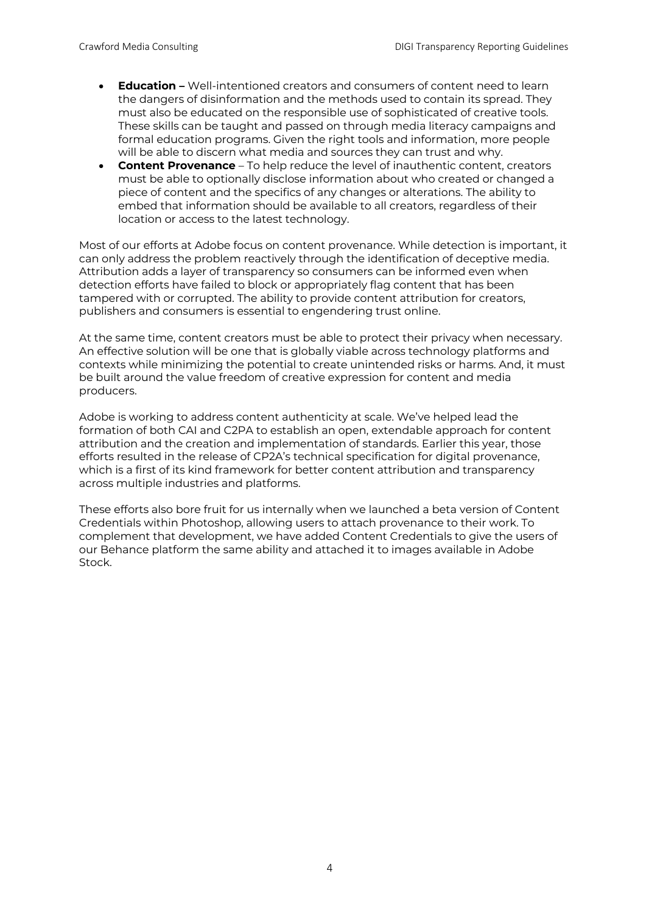- **Education –** Well-intentioned creators and consumers of content need to learn the dangers of disinformation and the methods used to contain its spread. They must also be educated on the responsible use of sophisticated of creative tools. These skills can be taught and passed on through media literacy campaigns and formal education programs. Given the right tools and information, more people will be able to discern what media and sources they can trust and why.
- **Content Provenance**  To help reduce the level of inauthentic content, creators must be able to optionally disclose information about who created or changed a piece of content and the specifics of any changes or alterations. The ability to embed that information should be available to all creators, regardless of their location or access to the latest technology.

Most of our efforts at Adobe focus on content provenance. While detection is important, it can only address the problem reactively through the identification of deceptive media. Attribution adds a layer of transparency so consumers can be informed even when detection efforts have failed to block or appropriately flag content that has been tampered with or corrupted. The ability to provide content attribution for creators, publishers and consumers is essential to engendering trust online.

At the same time, content creators must be able to protect their privacy when necessary. An effective solution will be one that is globally viable across technology platforms and contexts while minimizing the potential to create unintended risks or harms. And, it must be built around the value freedom of creative expression for content and media producers.

Adobe is working to address content authenticity at scale. We've helped lead the formation of both CAI and C2PA to establish an open, extendable approach for content attribution and the creation and implementation of standards. Earlier this year, those efforts resulted in the release of CP2A's technical specification for digital provenance, which is a first of its kind framework for better content attribution and transparency across multiple industries and platforms.

These efforts also bore fruit for us internally when we launched a beta version of Content Credentials within Photoshop, allowing users to attach provenance to their work. To complement that development, we have added Content Credentials to give the users of our Behance platform the same ability and attached it to images available in Adobe Stock.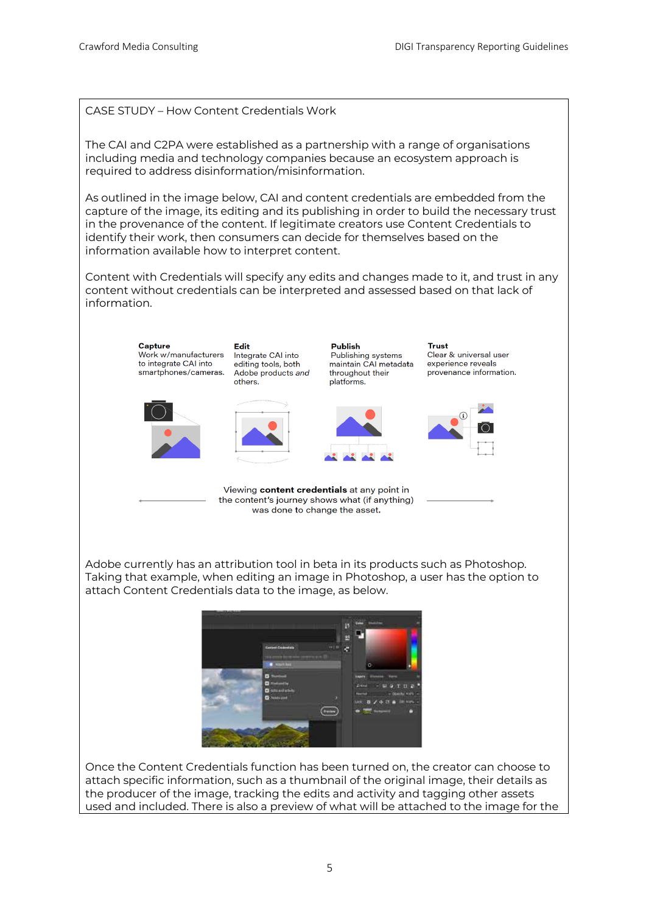CASE STUDY – How Content Credentials Work

The CAI and C2PA were established as a partnership with a range of organisations including media and technology companies because an ecosystem approach is required to address disinformation/misinformation.

As outlined in the image below, CAI and content credentials are embedded from the capture of the image, its editing and its publishing in order to build the necessary trust in the provenance of the content. If legitimate creators use Content Credentials to identify their work, then consumers can decide for themselves based on the information available how to interpret content.

Content with Credentials will specify any edits and changes made to it, and trust in any content without credentials can be interpreted and assessed based on that lack of information.



Adobe currently has an attribution tool in beta in its products such as Photoshop. Taking that example, when editing an image in Photoshop, a user has the option to attach Content Credentials data to the image, as below.



Once the Content Credentials function has been turned on, the creator can choose to attach specific information, such as a thumbnail of the original image, their details as the producer of the image, tracking the edits and activity and tagging other assets used and included. There is also a preview of what will be attached to the image for the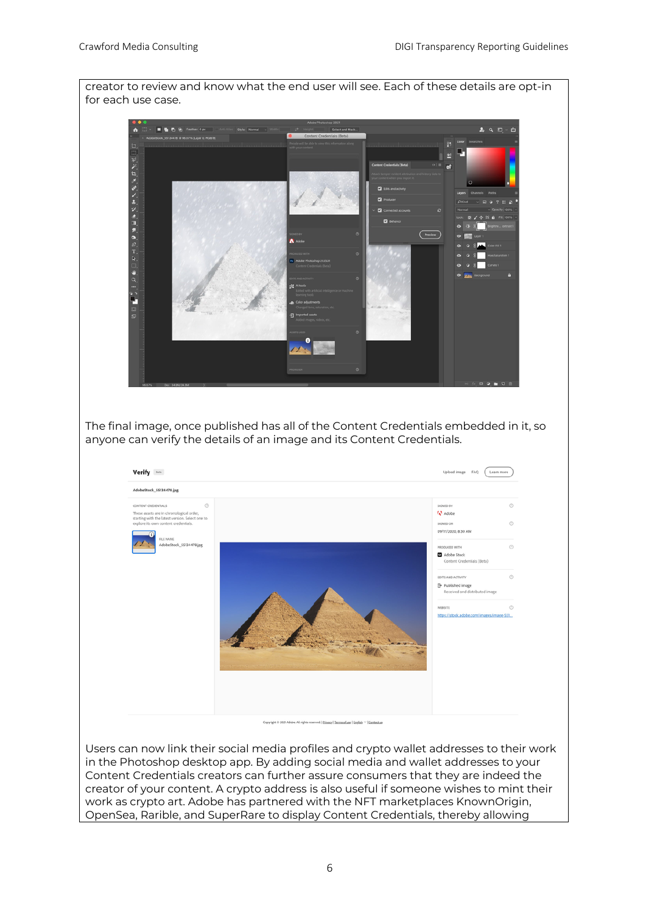

in the Photoshop desktop app. By adding social media and wallet addresses to your Content Credentials creators can further assure consumers that they are indeed the creator of your content. A crypto address is also useful if someone wishes to mint their work as crypto art. Adobe has partnered with the NFT marketplaces KnownOrigin, OpenSea, Rarible, and SuperRare to display Content Credentials, thereby allowing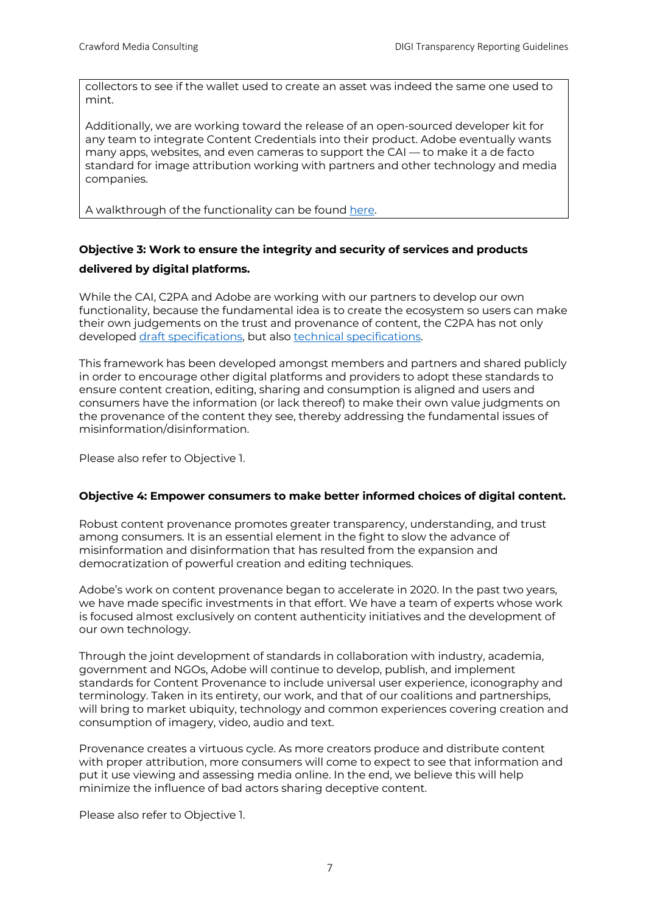collectors to see if the wallet used to create an asset was indeed the same one used to mint.

Additionally, we are working toward the release of an open-sourced developer kit for any team to integrate Content Credentials into their product. Adobe eventually wants many apps, websites, and even cameras to support the CAI — to make it a de facto standard for image attribution working with partners and other technology and media companies.

A walkthrough of the functionality can be found here.

# **Objective 3: Work to ensure the integrity and security of services and products delivered by digital platforms.**

While the CAI, C2PA and Adobe are working with our partners to develop our own functionality, because the fundamental idea is to create the ecosystem so users can make their own judgements on the trust and provenance of content, the C2PA has not only developed draft specifications, but also technical specifications.

This framework has been developed amongst members and partners and shared publicly in order to encourage other digital platforms and providers to adopt these standards to ensure content creation, editing, sharing and consumption is aligned and users and consumers have the information (or lack thereof) to make their own value judgments on the provenance of the content they see, thereby addressing the fundamental issues of misinformation/disinformation.

Please also refer to Objective 1.

### **Objective 4: Empower consumers to make better informed choices of digital content.**

Robust content provenance promotes greater transparency, understanding, and trust among consumers. It is an essential element in the fight to slow the advance of misinformation and disinformation that has resulted from the expansion and democratization of powerful creation and editing techniques.

Adobe's work on content provenance began to accelerate in 2020. In the past two years, we have made specific investments in that effort. We have a team of experts whose work is focused almost exclusively on content authenticity initiatives and the development of our own technology.

Through the joint development of standards in collaboration with industry, academia, government and NGOs, Adobe will continue to develop, publish, and implement standards for Content Provenance to include universal user experience, iconography and terminology. Taken in its entirety, our work, and that of our coalitions and partnerships, will bring to market ubiquity, technology and common experiences covering creation and consumption of imagery, video, audio and text.

Provenance creates a virtuous cycle. As more creators produce and distribute content with proper attribution, more consumers will come to expect to see that information and put it use viewing and assessing media online. In the end, we believe this will help minimize the influence of bad actors sharing deceptive content.

Please also refer to Objective 1.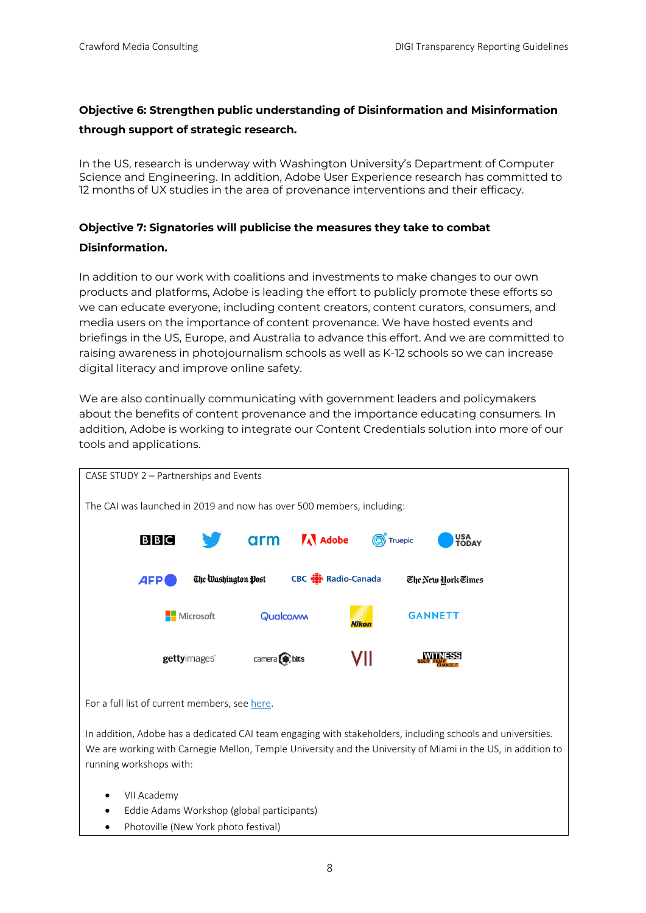## **Objective 6: Strengthen public understanding of Disinformation and Misinformation through support of strategic research.**

In the US, research is underway with Washington University's Department of Computer Science and Engineering. In addition, Adobe User Experience research has committed to 12 months of UX studies in the area of provenance interventions and their efficacy.

# **Objective 7: Signatories will publicise the measures they take to combat Disinformation.**

In addition to our work with coalitions and investments to make changes to our own products and platforms, Adobe is leading the effort to publicly promote these efforts so we can educate everyone, including content creators, content curators, consumers, and media users on the importance of content provenance. We have hosted events and briefings in the US, Europe, and Australia to advance this effort. And we are committed to raising awareness in photojournalism schools as well as K-12 schools so we can increase digital literacy and improve online safety.

We are also continually communicating with government leaders and policymakers about the benefits of content provenance and the importance educating consumers. In addition, Adobe is working to integrate our Content Credentials solution into more of our tools and applications.

| CASE STUDY 2 - Partnerships and Events                                                                                            |                     |             |                      |             |                    |
|-----------------------------------------------------------------------------------------------------------------------------------|---------------------|-------------|----------------------|-------------|--------------------|
| The CAI was launched in 2019 and now has over 500 members, including:                                                             |                     |             |                      |             |                    |
| B B C                                                                                                                             |                     |             | <b>arm A</b> Adobe   | (O) Truepic | USA<br>TODAY       |
| <b>AFP</b>                                                                                                                        | The Washington Post |             | CBC (D) Radio-Canada |             | The New York Times |
|                                                                                                                                   | Microsoft           | Qualcoww    | <b>Nikon</b>         |             | <b>GANNETT</b>     |
|                                                                                                                                   | gettyimages®        | camera bits |                      | VII         | NFSS               |
| For a full list of current members, see here.                                                                                     |                     |             |                      |             |                    |
| ممثلا تمسمن شببي امسم والممامو ومساويا والمسامي والملمط والخبيب ومشمومهم مسموط لكالم والمعامية والمسامي والماما والساما والمستعار |                     |             |                      |             |                    |

In addition, Adobe has a dedicated CAI team engaging with stakeholders, including schools and universities. We are working with Carnegie Mellon, Temple University and the University of Miami in the US, in addition to running workshops with:

- VII Academy
- Eddie Adams Workshop (global participants)
- Photoville (New York photo festival)